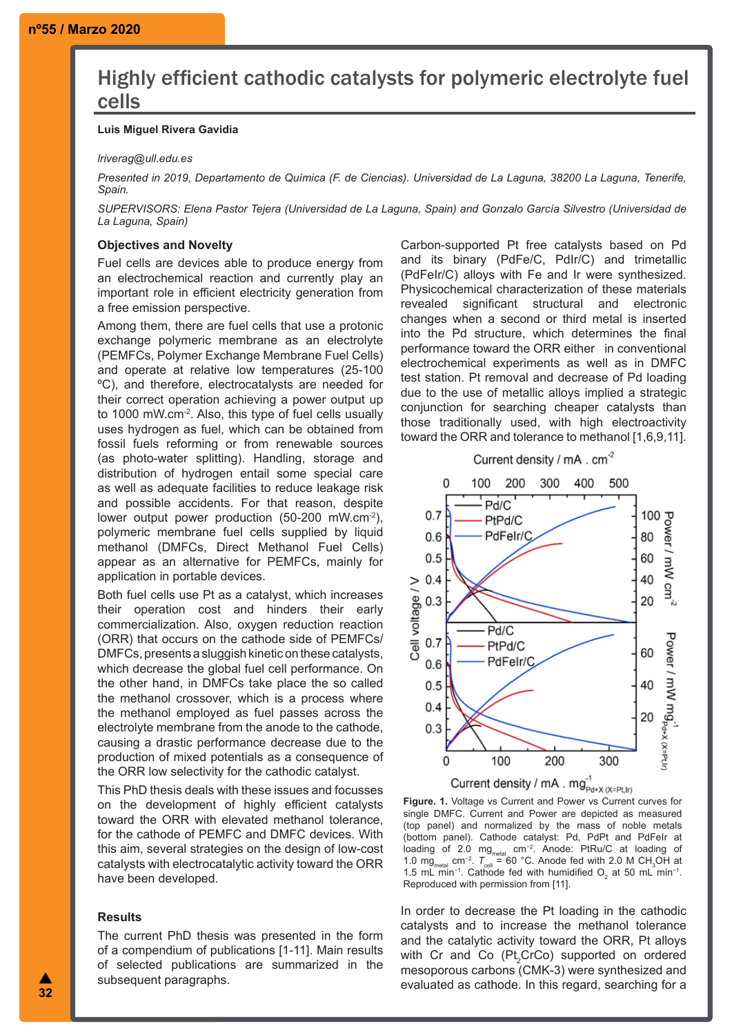# Highly efficient cathodic catalysts for polymeric electrolyte fuel cells

# **Luis Miguel Rivera Gavidia**

### *lriverag@ull.edu.es*

*Presented in 2019, Departamento de Química (F. de Ciencias). Universidad de La Laguna, 38200 La Laguna, Tenerife, Spain.*

*SUPERVISORS: Elena Pastor Tejera (Universidad de La Laguna, Spain) and Gonzalo García Silvestro (Universidad de La Laguna, Spain)*

## **Objectives and Novelty**

Fuel cells are devices able to produce energy from an electrochemical reaction and currently play an important role in efficient electricity generation from a free emission perspective.

Among them, there are fuel cells that use a protonic exchange polymeric membrane as an electrolyte (PEMFCs, Polymer Exchange Membrane Fuel Cells) and operate at relative low temperatures (25-100 ºC), and therefore, electrocatalysts are needed for their correct operation achieving a power output up to 1000 mW.cm-2. Also, this type of fuel cells usually uses hydrogen as fuel, which can be obtained from fossil fuels reforming or from renewable sources (as photo-water splitting). Handling, storage and distribution of hydrogen entail some special care as well as adequate facilities to reduce leakage risk and possible accidents. For that reason, despite lower output power production (50-200 mW.cm<sup>-2</sup>), polymeric membrane fuel cells supplied by liquid methanol (DMFCs, Direct Methanol Fuel Cells) appear as an alternative for PEMFCs, mainly for application in portable devices.

Both fuel cells use Pt as a catalyst, which increases their operation cost and hinders their early commercialization. Also, oxygen reduction reaction (ORR) that occurs on the cathode side of PEMFCs/ DMFCs, presents a sluggish kinetic on these catalysts, which decrease the global fuel cell performance. On the other hand, in DMFCs take place the so called the methanol crossover, which is a process where the methanol employed as fuel passes across the electrolyte membrane from the anode to the cathode, causing a drastic performance decrease due to the production of mixed potentials as a consequence of the ORR low selectivity for the cathodic catalyst.

This PhD thesis deals with these issues and focusses on the development of highly efficient catalysts toward the ORR with elevated methanol tolerance, for the cathode of PEMFC and DMFC devices. With this aim, several strategies on the design of low-cost catalysts with electrocatalytic activity toward the ORR have been developed.

### **Results**

The current PhD thesis was presented in the form of a compendium of publications [1-11]. Main results of selected publications are summarized in the subsequent paragraphs.

Carbon-supported Pt free catalysts based on Pd and its binary (PdFe/C, PdIr/C) and trimetallic (PdFeIr/C) alloys with Fe and Ir were synthesized. Physicochemical characterization of these materials revealed significant structural and electronic changes when a second or third metal is inserted into the Pd structure, which determines the final performance toward the ORR either in conventional electrochemical experiments as well as in DMFC test station. Pt removal and decrease of Pd loading due to the use of metallic alloys implied a strategic conjunction for searching cheaper catalysts than those traditionally used, with high electroactivity toward the ORR and tolerance to methanol [1,6,9,11].



**Figure. 1.** Voltage vs Current and Power vs Current curves for single DMFC. Current and Power are depicted as measured (top panel) and normalized by the mass of noble metals (bottom panel). Cathode catalyst: Pd, PdPt and PdFeIr at loading of 2.0 mg<sub>metal</sub> cm<sup>−2</sup>. Anode: PtRu/C at loading of 1.0 mg<sub>metal</sub> cm<sup>-2</sup>.  $T_{\text{cell}}$  = 60 °C. Anode fed with 2.0 M CH<sub>3</sub>OH at 1.5 mL min<sup>-1</sup>. Cathode fed with humidified O<sub>2</sub> at 50 mL min<sup>-1</sup>. Reproduced with permission from [11].

In order to decrease the Pt loading in the cathodic catalysts and to increase the methanol tolerance and the catalytic activity toward the ORR, Pt alloys with Cr and Co  $(Pt<sub>2</sub>CrCo)$  supported on ordered mesoporous carbons (CMK-3) were synthesized and evaluated as cathode. In this regard, searching for a